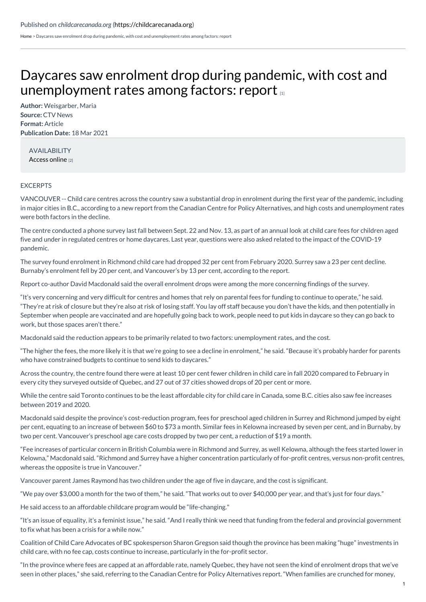[Home](https://childcarecanada.org/) > Daycares saw enrolment drop during pandemic, with cost and unemployment rates among factors: report

## Daycares saw enrolment drop during pandemic, with cost and [unemployment](https://childcarecanada.org/documents/child-care-news/21/03/daycares-saw-enrolment-drop-during-pandemic-cost-and-unemployment) rates among factors: report

**Author:** Weisgarber, Maria **Source:** CTV News **Format:** Article **Publication Date:** 18 Mar 2021

AVAILABILITY [Access](https://bc.ctvnews.ca/daycares-saw-enrolment-drop-during-pandemic-with-cost-and-unemployment-rates-among-factors-report-1.5352824) online [2]

## **EXCERPTS**

VANCOUVER -- Child care centres across the country saw a substantial drop in enrolment during the first year of the pandemic, including in major cities in B.C., according to a new report from the Canadian Centre for Policy Alternatives, and high costs and unemployment rates were both factors in the decline.

The centre conducted a phone survey last fall between Sept. 22 and Nov. 13, as part of an annual look at child care fees for children aged five and under in regulated centres or home daycares. Last year, questions were also asked related to the impact of the COVID-19 pandemic.

The survey found enrolment in Richmond child care had dropped 32 per cent from February 2020. Surrey saw a 23 per cent decline. Burnaby's enrolment fell by 20 per cent, and Vancouver's by 13 per cent, according to the report.

Report co-author David Macdonald said the overall enrolment drops were among the more concerning findings of the survey.

"It's very concerning and very difficult for centres and homes that rely on parental fees for funding to continue to operate," he said. "They're at risk of closure but they're also at risk of losing staff. You lay off staff because you don't have the kids, and then potentially in September when people are vaccinated and are hopefully going back to work, people need to put kids in daycare so they can go back to work, but those spaces aren't there."

Macdonald said the reduction appears to be primarily related to two factors: unemployment rates, and the cost.

"The higher the fees, the more likely it is that we're going to see a decline in enrolment," he said. "Because it's probably harder for parents who have constrained budgets to continue to send kids to daycares."

Across the country, the centre found there were at least 10 per cent fewer children in child care in fall 2020 compared to February in every city they surveyed outside of Quebec, and 27 out of 37 cities showed drops of 20 per cent or more.

While the centre said Toronto continues to be the least affordable city for child care in Canada, some B.C. cities also saw fee increases between 2019 and 2020.

Macdonald said despite the province's cost-reduction program, fees for preschool aged children in Surrey and Richmond jumped by eight per cent, equating to an increase of between \$60 to \$73 a month. Similar fees in Kelowna increased by seven per cent, and in Burnaby, by two per cent. Vancouver's preschool age care costs dropped by two per cent, a reduction of \$19 a month.

"Fee increases of particular concern in British Columbia were in Richmond and Surrey, as well Kelowna, although the fees started lower in Kelowna," Macdonald said. "Richmond and Surrey have a higher concentration particularly of for-profit centres, versus non-profit centres, whereas the opposite is true in Vancouver."

Vancouver parent James Raymond has two children under the age of five in daycare, and the cost is significant.

"We pay over \$3,000 a month for the two of them," he said. "That works out to over \$40,000 per year, and that's just for four days."

He said access to an affordable childcare program would be "life-changing."

"It's an issue of equality, it's a feminist issue," he said. "And I really think we need that funding from the federal and provincial government to fix what has been a crisis for a while now."

Coalition of Child Care Advocates of BC spokesperson Sharon Gregson said though the province has been making "huge" investments in child care, with no fee cap, costs continue to increase, particularly in the for-profit sector.

"In the province where fees are capped at an affordable rate, namely Quebec, they have not seen the kind of enrolment drops that we've seen in other places," she said, referring to the Canadian Centre for Policy Alternatives report. "When families are crunched for money,